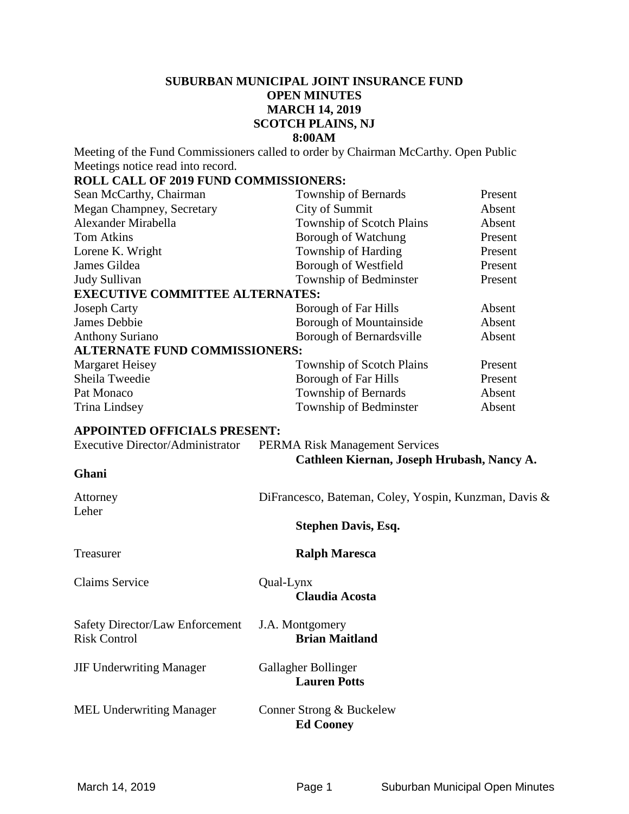### **SUBURBAN MUNICIPAL JOINT INSURANCE FUND OPEN MINUTES MARCH 14, 2019 SCOTCH PLAINS, NJ 8:00AM**

Meeting of the Fund Commissioners called to order by Chairman McCarthy. Open Public Meetings notice read into record.

#### **ROLL CALL OF 2019 FUND COMMISSIONERS:**

| Sean McCarthy, Chairman                 | Township of Bernards                                  | Present |
|-----------------------------------------|-------------------------------------------------------|---------|
| Megan Champney, Secretary               | City of Summit                                        | Absent  |
| Alexander Mirabella                     | Township of Scotch Plains                             | Absent  |
| <b>Tom Atkins</b>                       | Borough of Watchung                                   | Present |
| Lorene K. Wright                        | Township of Harding                                   | Present |
| James Gildea                            | Borough of Westfield                                  | Present |
| Judy Sullivan                           | Township of Bedminster                                | Present |
| <b>EXECUTIVE COMMITTEE ALTERNATES:</b>  |                                                       |         |
| <b>Joseph Carty</b>                     | <b>Borough of Far Hills</b>                           | Absent  |
| James Debbie                            | <b>Borough of Mountainside</b>                        | Absent  |
| <b>Anthony Suriano</b>                  | Borough of Bernardsville                              | Absent  |
| <b>ALTERNATE FUND COMMISSIONERS:</b>    |                                                       |         |
| <b>Margaret Heisey</b>                  | <b>Township of Scotch Plains</b>                      | Present |
| Sheila Tweedie                          | <b>Borough of Far Hills</b>                           | Present |
| Pat Monaco                              | Township of Bernards                                  | Absent  |
| Trina Lindsey                           | Township of Bedminster                                | Absent  |
| <b>APPOINTED OFFICIALS PRESENT:</b>     |                                                       |         |
| <b>Executive Director/Administrator</b> | <b>PERMA Risk Management Services</b>                 |         |
|                                         | Cathleen Kiernan, Joseph Hrubash, Nancy A.            |         |
| Ghani                                   |                                                       |         |
| Attorney                                | DiFrancesco, Bateman, Coley, Yospin, Kunzman, Davis & |         |
| Leher                                   |                                                       |         |

**Stephen Davis, Esq.** 

Treasurer **Ralph Maresca**

Claims Service Qual-Lynx

**Claudia Acosta**

Safety Director/Law Enforcement J.A. Montgomery Risk Control **Brian Maitland**

JIF Underwriting Manager Gallagher Bollinger

**Lauren Potts**

MEL Underwriting Manager Conner Strong & Buckelew

**Ed Cooney**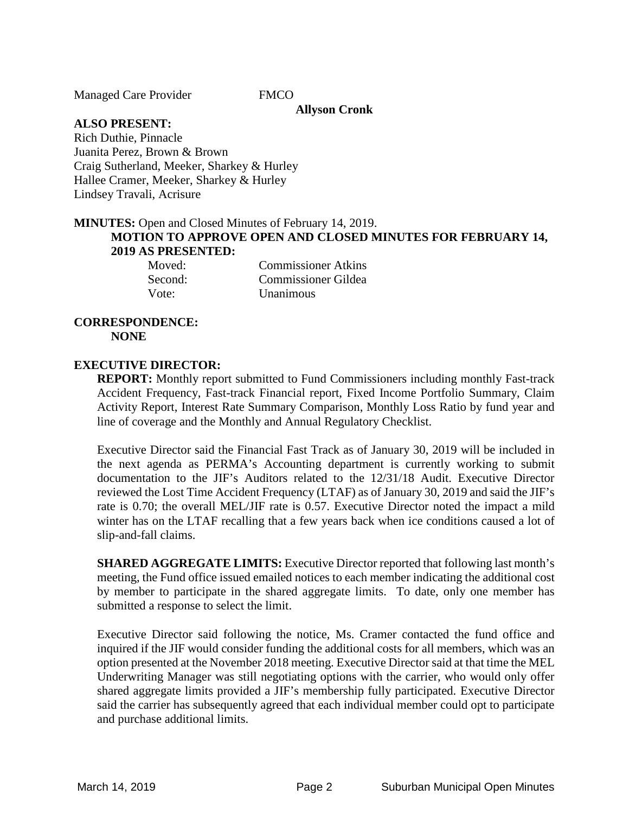Managed Care Provider FMCO

### **Allyson Cronk**

**ALSO PRESENT:**

Rich Duthie, Pinnacle Juanita Perez, Brown & Brown Craig Sutherland, Meeker, Sharkey & Hurley Hallee Cramer, Meeker, Sharkey & Hurley Lindsey Travali, Acrisure

#### **MINUTES:** Open and Closed Minutes of February 14, 2019. **MOTION TO APPROVE OPEN AND CLOSED MINUTES FOR FEBRUARY 14, 2019 AS PRESENTED:**

Moved: Commissioner Atkins Second: Commissioner Gildea Vote: Unanimous

### **CORRESPONDENCE: NONE**

#### **EXECUTIVE DIRECTOR:**

**REPORT:** Monthly report submitted to Fund Commissioners including monthly Fast-track Accident Frequency, Fast-track Financial report, Fixed Income Portfolio Summary, Claim Activity Report, Interest Rate Summary Comparison, Monthly Loss Ratio by fund year and line of coverage and the Monthly and Annual Regulatory Checklist.

Executive Director said the Financial Fast Track as of January 30, 2019 will be included in the next agenda as PERMA's Accounting department is currently working to submit documentation to the JIF's Auditors related to the 12/31/18 Audit. Executive Director reviewed the Lost Time Accident Frequency (LTAF) as of January 30, 2019 and said the JIF's rate is 0.70; the overall MEL/JIF rate is 0.57. Executive Director noted the impact a mild winter has on the LTAF recalling that a few years back when ice conditions caused a lot of slip-and-fall claims.

**SHARED AGGREGATE LIMITS:** Executive Director reported that following last month's meeting, the Fund office issued emailed notices to each member indicating the additional cost by member to participate in the shared aggregate limits. To date, only one member has submitted a response to select the limit.

Executive Director said following the notice, Ms. Cramer contacted the fund office and inquired if the JIF would consider funding the additional costs for all members, which was an option presented at the November 2018 meeting. Executive Director said at that time the MEL Underwriting Manager was still negotiating options with the carrier, who would only offer shared aggregate limits provided a JIF's membership fully participated. Executive Director said the carrier has subsequently agreed that each individual member could opt to participate and purchase additional limits.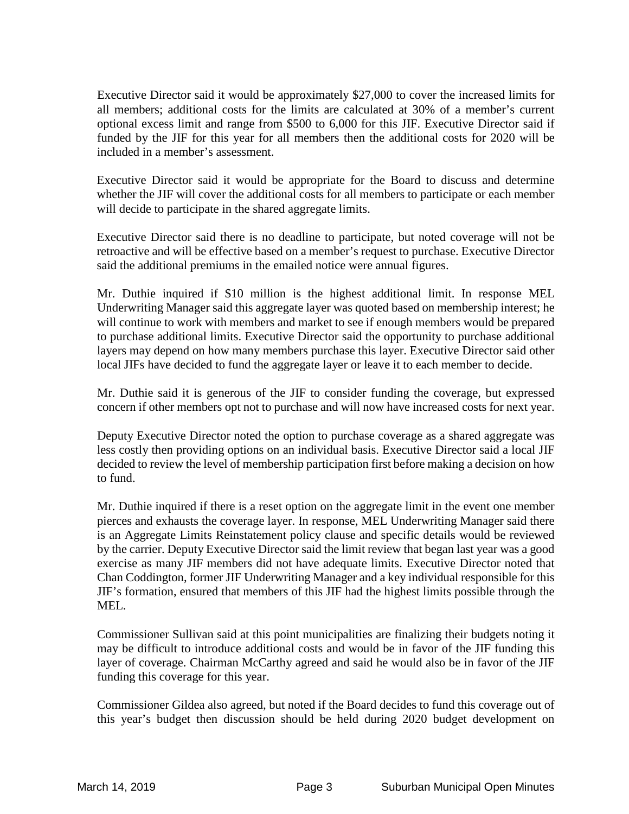Executive Director said it would be approximately \$27,000 to cover the increased limits for all members; additional costs for the limits are calculated at 30% of a member's current optional excess limit and range from \$500 to 6,000 for this JIF. Executive Director said if funded by the JIF for this year for all members then the additional costs for 2020 will be included in a member's assessment.

Executive Director said it would be appropriate for the Board to discuss and determine whether the JIF will cover the additional costs for all members to participate or each member will decide to participate in the shared aggregate limits.

Executive Director said there is no deadline to participate, but noted coverage will not be retroactive and will be effective based on a member's request to purchase. Executive Director said the additional premiums in the emailed notice were annual figures.

Mr. Duthie inquired if \$10 million is the highest additional limit. In response MEL Underwriting Manager said this aggregate layer was quoted based on membership interest; he will continue to work with members and market to see if enough members would be prepared to purchase additional limits. Executive Director said the opportunity to purchase additional layers may depend on how many members purchase this layer. Executive Director said other local JIFs have decided to fund the aggregate layer or leave it to each member to decide.

Mr. Duthie said it is generous of the JIF to consider funding the coverage, but expressed concern if other members opt not to purchase and will now have increased costs for next year.

Deputy Executive Director noted the option to purchase coverage as a shared aggregate was less costly then providing options on an individual basis. Executive Director said a local JIF decided to review the level of membership participation first before making a decision on how to fund.

Mr. Duthie inquired if there is a reset option on the aggregate limit in the event one member pierces and exhausts the coverage layer. In response, MEL Underwriting Manager said there is an Aggregate Limits Reinstatement policy clause and specific details would be reviewed by the carrier. Deputy Executive Director said the limit review that began last year was a good exercise as many JIF members did not have adequate limits. Executive Director noted that Chan Coddington, former JIF Underwriting Manager and a key individual responsible for this JIF's formation, ensured that members of this JIF had the highest limits possible through the MEL.

Commissioner Sullivan said at this point municipalities are finalizing their budgets noting it may be difficult to introduce additional costs and would be in favor of the JIF funding this layer of coverage. Chairman McCarthy agreed and said he would also be in favor of the JIF funding this coverage for this year.

Commissioner Gildea also agreed, but noted if the Board decides to fund this coverage out of this year's budget then discussion should be held during 2020 budget development on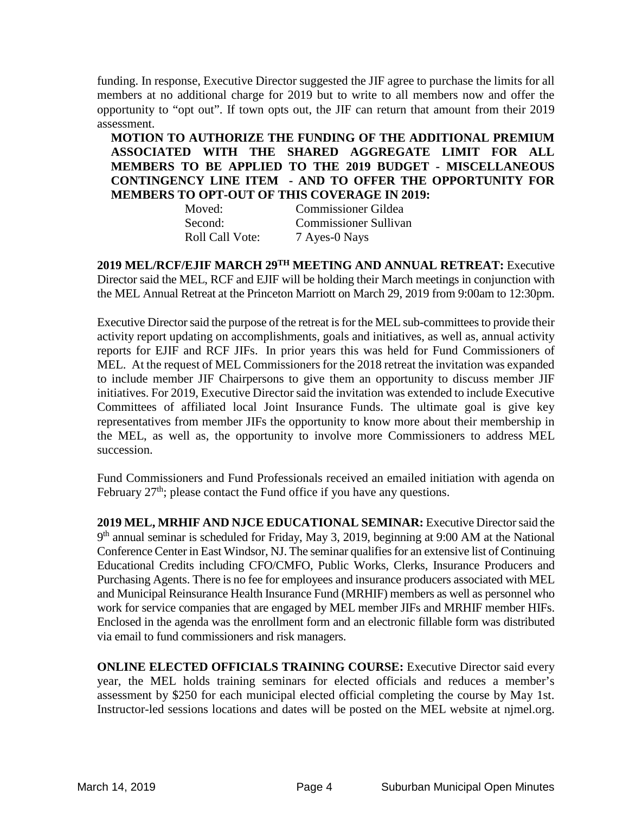funding. In response, Executive Director suggested the JIF agree to purchase the limits for all members at no additional charge for 2019 but to write to all members now and offer the opportunity to "opt out". If town opts out, the JIF can return that amount from their 2019 assessment.

**MOTION TO AUTHORIZE THE FUNDING OF THE ADDITIONAL PREMIUM ASSOCIATED WITH THE SHARED AGGREGATE LIMIT FOR ALL MEMBERS TO BE APPLIED TO THE 2019 BUDGET - MISCELLANEOUS CONTINGENCY LINE ITEM - AND TO OFFER THE OPPORTUNITY FOR MEMBERS TO OPT-OUT OF THIS COVERAGE IN 2019:**

| Moved:          | <b>Commissioner Gildea</b>   |
|-----------------|------------------------------|
| Second:         | <b>Commissioner Sullivan</b> |
| Roll Call Vote: | 7 Ayes-0 Nays                |

**2019 MEL/RCF/EJIF MARCH 29TH MEETING AND ANNUAL RETREAT:** Executive Director said the MEL, RCF and EJIF will be holding their March meetings in conjunction with the MEL Annual Retreat at the Princeton Marriott on March 29, 2019 from 9:00am to 12:30pm.

Executive Director said the purpose of the retreat is for the MEL sub-committees to provide their activity report updating on accomplishments, goals and initiatives, as well as, annual activity reports for EJIF and RCF JIFs. In prior years this was held for Fund Commissioners of MEL. At the request of MEL Commissioners for the 2018 retreat the invitation was expanded to include member JIF Chairpersons to give them an opportunity to discuss member JIF initiatives. For 2019, Executive Director said the invitation was extended to include Executive Committees of affiliated local Joint Insurance Funds. The ultimate goal is give key representatives from member JIFs the opportunity to know more about their membership in the MEL, as well as, the opportunity to involve more Commissioners to address MEL succession.

Fund Commissioners and Fund Professionals received an emailed initiation with agenda on February  $27<sup>th</sup>$ ; please contact the Fund office if you have any questions.

**2019 MEL, MRHIF AND NJCE EDUCATIONAL SEMINAR:** Executive Director said the 9<sup>th</sup> annual seminar is scheduled for Friday, May 3, 2019, beginning at 9:00 AM at the National Conference Center in East Windsor, NJ. The seminar qualifies for an extensive list of Continuing Educational Credits including CFO/CMFO, Public Works, Clerks, Insurance Producers and Purchasing Agents. There is no fee for employees and insurance producers associated with MEL and Municipal Reinsurance Health Insurance Fund (MRHIF) members as well as personnel who work for service companies that are engaged by MEL member JIFs and MRHIF member HIFs. Enclosed in the agenda was the enrollment form and an electronic fillable form was distributed via email to fund commissioners and risk managers.

**ONLINE ELECTED OFFICIALS TRAINING COURSE:** Executive Director said every year, the MEL holds training seminars for elected officials and reduces a member's assessment by \$250 for each municipal elected official completing the course by May 1st. Instructor-led sessions locations and dates will be posted on the MEL website at njmel.org.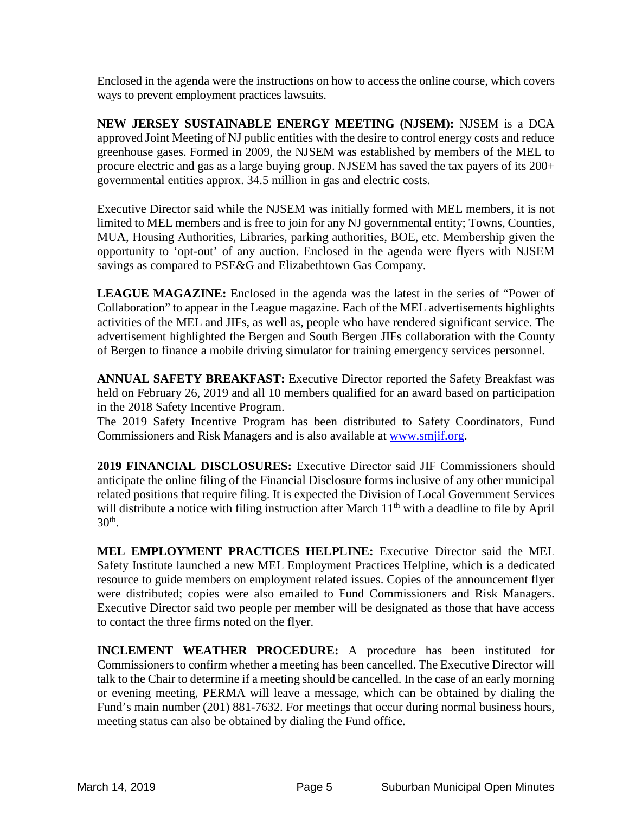Enclosed in the agenda were the instructions on how to access the online course, which covers ways to prevent employment practices lawsuits.

**NEW JERSEY SUSTAINABLE ENERGY MEETING (NJSEM):** NJSEM is a DCA approved Joint Meeting of NJ public entities with the desire to control energy costs and reduce greenhouse gases. Formed in 2009, the NJSEM was established by members of the MEL to procure electric and gas as a large buying group. NJSEM has saved the tax payers of its 200+ governmental entities approx. 34.5 million in gas and electric costs.

Executive Director said while the NJSEM was initially formed with MEL members, it is not limited to MEL members and is free to join for any NJ governmental entity; Towns, Counties, MUA, Housing Authorities, Libraries, parking authorities, BOE, etc. Membership given the opportunity to 'opt-out' of any auction. Enclosed in the agenda were flyers with NJSEM savings as compared to PSE&G and Elizabethtown Gas Company.

**LEAGUE MAGAZINE:** Enclosed in the agenda was the latest in the series of "Power of Collaboration" to appear in the League magazine. Each of the MEL advertisements highlights activities of the MEL and JIFs, as well as, people who have rendered significant service. The advertisement highlighted the Bergen and South Bergen JIFs collaboration with the County of Bergen to finance a mobile driving simulator for training emergency services personnel.

**ANNUAL SAFETY BREAKFAST:** Executive Director reported the Safety Breakfast was held on February 26, 2019 and all 10 members qualified for an award based on participation in the 2018 Safety Incentive Program.

The 2019 Safety Incentive Program has been distributed to Safety Coordinators, Fund Commissioners and Risk Managers and is also available at [www.smjif.org.](http://www.smjif.org/)

**2019 FINANCIAL DISCLOSURES:** Executive Director said JIF Commissioners should anticipate the online filing of the Financial Disclosure forms inclusive of any other municipal related positions that require filing. It is expected the Division of Local Government Services will distribute a notice with filing instruction after March 11<sup>th</sup> with a deadline to file by April  $30<sup>th</sup>$ .

**MEL EMPLOYMENT PRACTICES HELPLINE:** Executive Director said the MEL Safety Institute launched a new MEL Employment Practices Helpline, which is a dedicated resource to guide members on employment related issues. Copies of the announcement flyer were distributed; copies were also emailed to Fund Commissioners and Risk Managers. Executive Director said two people per member will be designated as those that have access to contact the three firms noted on the flyer.

**INCLEMENT WEATHER PROCEDURE:** A procedure has been instituted for Commissioners to confirm whether a meeting has been cancelled. The Executive Director will talk to the Chair to determine if a meeting should be cancelled. In the case of an early morning or evening meeting, PERMA will leave a message, which can be obtained by dialing the Fund's main number (201) 881-7632. For meetings that occur during normal business hours, meeting status can also be obtained by dialing the Fund office.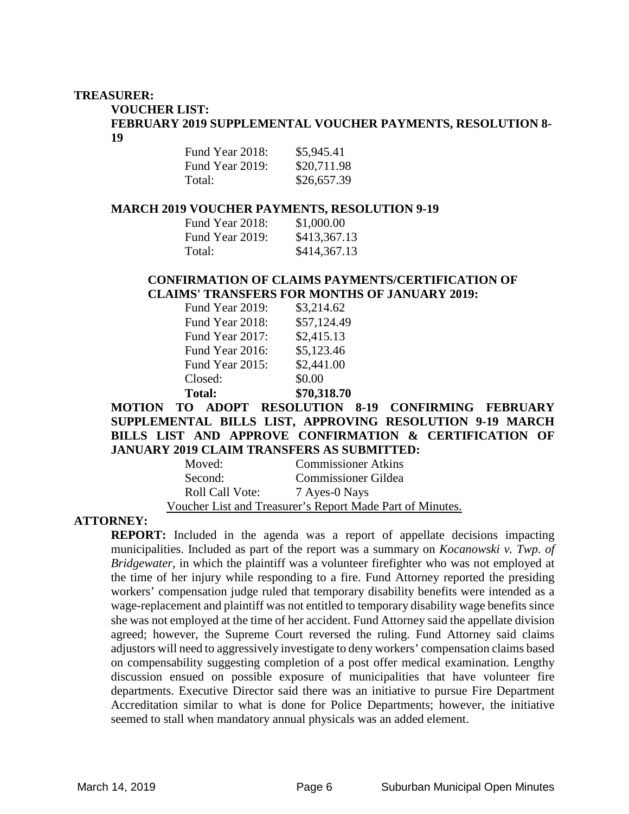#### **TREASURER:**

**VOUCHER LIST:** 

**FEBRUARY 2019 SUPPLEMENTAL VOUCHER PAYMENTS, RESOLUTION 8- 19**

| Fund Year 2018: | \$5,945.41  |
|-----------------|-------------|
| Fund Year 2019: | \$20,711.98 |
| Total:          | \$26,657.39 |

#### **MARCH 2019 VOUCHER PAYMENTS, RESOLUTION 9-19**

| Fund Year 2018: | \$1,000.00   |
|-----------------|--------------|
| Fund Year 2019: | \$413,367.13 |
| Total:          | \$414,367.13 |

#### **CONFIRMATION OF CLAIMS PAYMENTS/CERTIFICATION OF CLAIMS' TRANSFERS FOR MONTHS OF JANUARY 2019:**

| Fund Year 2019: | \$3,214.62  |
|-----------------|-------------|
| Fund Year 2018: | \$57,124.49 |
| Fund Year 2017: | \$2,415.13  |
| Fund Year 2016: | \$5,123.46  |
| Fund Year 2015: | \$2,441.00  |
| Closed:         | \$0.00      |
| <b>Total:</b>   | \$70,318.70 |

**MOTION TO ADOPT RESOLUTION 8-19 CONFIRMING FEBRUARY SUPPLEMENTAL BILLS LIST, APPROVING RESOLUTION 9-19 MARCH BILLS LIST AND APPROVE CONFIRMATION & CERTIFICATION OF JANUARY 2019 CLAIM TRANSFERS AS SUBMITTED:** 

| Moved:                                                    | <b>Commissioner Atkins</b> |  |
|-----------------------------------------------------------|----------------------------|--|
| Second:                                                   | <b>Commissioner Gildea</b> |  |
| <b>Roll Call Vote:</b>                                    | 7 Ayes-0 Nays              |  |
| Voucher List and Treasurer's Report Made Part of Minutes. |                            |  |

### **ATTORNEY:**

**REPORT:** Included in the agenda was a report of appellate decisions impacting municipalities. Included as part of the report was a summary on *Kocanowski v. Twp. of Bridgewater,* in which the plaintiff was a volunteer firefighter who was not employed at the time of her injury while responding to a fire. Fund Attorney reported the presiding workers' compensation judge ruled that temporary disability benefits were intended as a wage-replacement and plaintiff was not entitled to temporary disability wage benefits since she was not employed at the time of her accident. Fund Attorney said the appellate division agreed; however, the Supreme Court reversed the ruling. Fund Attorney said claims adjustors will need to aggressively investigate to deny workers' compensation claims based on compensability suggesting completion of a post offer medical examination. Lengthy discussion ensued on possible exposure of municipalities that have volunteer fire departments. Executive Director said there was an initiative to pursue Fire Department Accreditation similar to what is done for Police Departments; however, the initiative seemed to stall when mandatory annual physicals was an added element.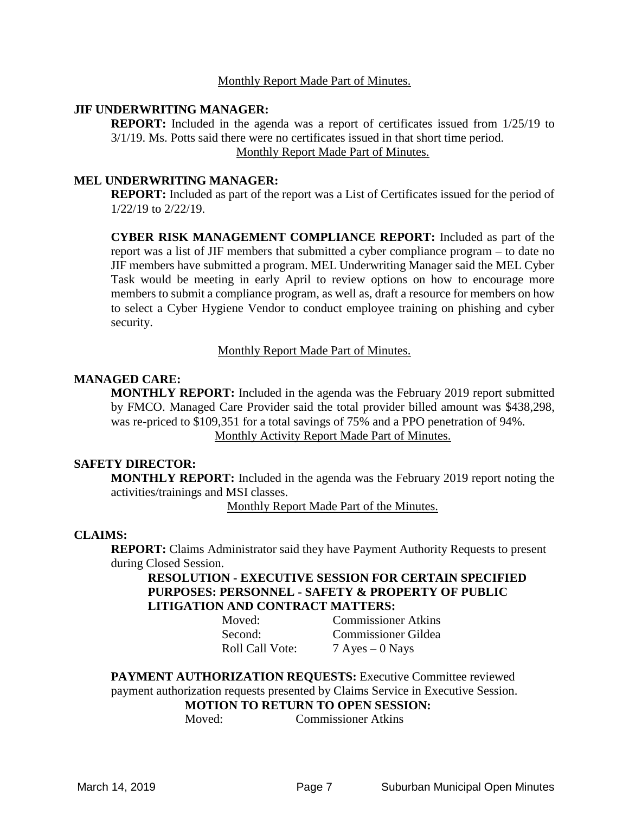#### Monthly Report Made Part of Minutes.

#### **JIF UNDERWRITING MANAGER:**

**REPORT:** Included in the agenda was a report of certificates issued from  $1/25/19$  to 3/1/19. Ms. Potts said there were no certificates issued in that short time period. Monthly Report Made Part of Minutes.

#### **MEL UNDERWRITING MANAGER:**

**REPORT:** Included as part of the report was a List of Certificates issued for the period of 1/22/19 to 2/22/19.

**CYBER RISK MANAGEMENT COMPLIANCE REPORT:** Included as part of the report was a list of JIF members that submitted a cyber compliance program – to date no JIF members have submitted a program. MEL Underwriting Manager said the MEL Cyber Task would be meeting in early April to review options on how to encourage more members to submit a compliance program, as well as, draft a resource for members on how to select a Cyber Hygiene Vendor to conduct employee training on phishing and cyber security.

#### Monthly Report Made Part of Minutes.

#### **MANAGED CARE:**

**MONTHLY REPORT:** Included in the agenda was the February 2019 report submitted by FMCO. Managed Care Provider said the total provider billed amount was \$438,298, was re-priced to \$109,351 for a total savings of 75% and a PPO penetration of 94%. Monthly Activity Report Made Part of Minutes.

#### **SAFETY DIRECTOR:**

**MONTHLY REPORT:** Included in the agenda was the February 2019 report noting the activities/trainings and MSI classes.

Monthly Report Made Part of the Minutes.

#### **CLAIMS:**

**REPORT:** Claims Administrator said they have Payment Authority Requests to present during Closed Session.

#### **RESOLUTION - EXECUTIVE SESSION FOR CERTAIN SPECIFIED PURPOSES: PERSONNEL - SAFETY & PROPERTY OF PUBLIC LITIGATION AND CONTRACT MATTERS:**

Moved: Commissioner Atkins Second: Commissioner Gildea Roll Call Vote: 7 Ayes – 0 Nays

**PAYMENT AUTHORIZATION REQUESTS:** Executive Committee reviewed payment authorization requests presented by Claims Service in Executive Session. **MOTION TO RETURN TO OPEN SESSION:**<br>Moved: Commissioner Atkins

Commissioner Atkins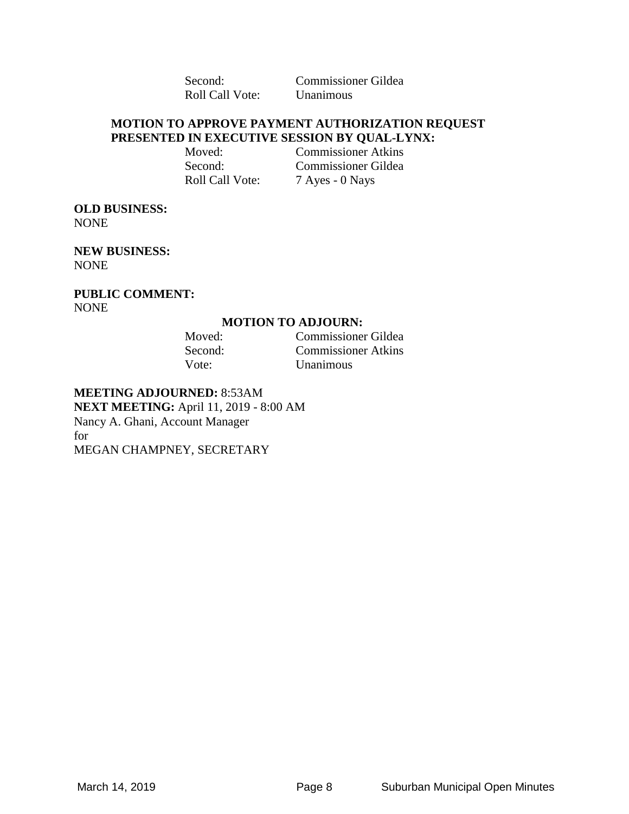Roll Call Vote: Unanimous

Second: Commissioner Gildea

#### **MOTION TO APPROVE PAYMENT AUTHORIZATION REQUEST PRESENTED IN EXECUTIVE SESSION BY QUAL-LYNX:**

Moved: Commissioner Atkins Second: Commissioner Gildea Roll Call Vote: 7 Ayes - 0 Nays

#### **OLD BUSINESS:**  NONE

**NEW BUSINESS:**  NONE

**PUBLIC COMMENT:**  NONE

#### **MOTION TO ADJOURN:**

Moved: Commissioner Gildea Second: Commissioner Atkins Vote: Unanimous

## **MEETING ADJOURNED:** 8:53AM

**NEXT MEETING:** April 11, 2019 - 8:00 AM Nancy A. Ghani, Account Manager for MEGAN CHAMPNEY, SECRETARY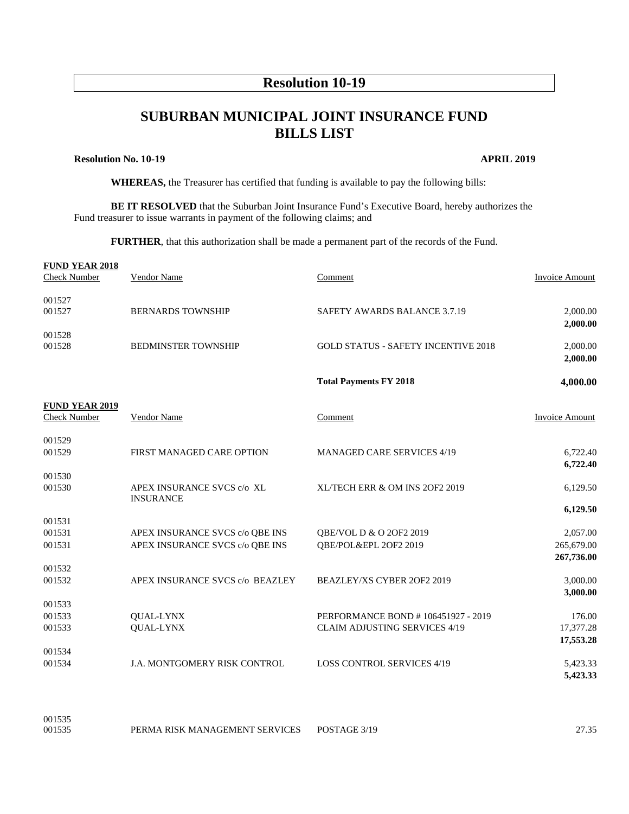## **Resolution 10-19**

# **SUBURBAN MUNICIPAL JOINT INSURANCE FUND BILLS LIST**

#### **Resolution No. 10-19 APRIL 2019**

**WHEREAS,** the Treasurer has certified that funding is available to pay the following bills:

**BE IT RESOLVED** that the Suburban Joint Insurance Fund's Executive Board, hereby authorizes the Fund treasurer to issue warrants in payment of the following claims; and

**FURTHER**, that this authorization shall be made a permanent part of the records of the Fund.

| <b>FUND YEAR 2018</b><br><b>Check Number</b> | Vendor Name                                    | Comment                                    | <b>Invoice Amount</b> |
|----------------------------------------------|------------------------------------------------|--------------------------------------------|-----------------------|
| 001527<br>001527                             | <b>BERNARDS TOWNSHIP</b>                       | <b>SAFETY AWARDS BALANCE 3.7.19</b>        | 2,000.00              |
|                                              |                                                |                                            | 2,000.00              |
| 001528                                       |                                                |                                            |                       |
| 001528                                       | <b>BEDMINSTER TOWNSHIP</b>                     | <b>GOLD STATUS - SAFETY INCENTIVE 2018</b> | 2,000.00<br>2,000.00  |
|                                              |                                                |                                            |                       |
|                                              |                                                | <b>Total Payments FY 2018</b>              | 4,000.00              |
| <b>FUND YEAR 2019</b><br><b>Check Number</b> | <b>Vendor Name</b>                             | Comment                                    | <b>Invoice Amount</b> |
|                                              |                                                |                                            |                       |
| 001529<br>001529                             | FIRST MANAGED CARE OPTION                      | <b>MANAGED CARE SERVICES 4/19</b>          | 6,722.40              |
|                                              |                                                |                                            | 6,722.40              |
| 001530                                       |                                                |                                            |                       |
| 001530                                       | APEX INSURANCE SVCS c/o XL<br><b>INSURANCE</b> | XL/TECH ERR & OM INS 2OF2 2019             | 6,129.50              |
|                                              |                                                |                                            | 6,129.50              |
| 001531<br>001531                             | APEX INSURANCE SVCS c/o QBE INS                | QBE/VOL D & O 20F2 2019                    | 2,057.00              |
| 001531                                       | APEX INSURANCE SVCS c/o QBE INS                | QBE/POL&EPL 2OF2 2019                      | 265,679.00            |
| 001532                                       |                                                |                                            | 267,736.00            |
| 001532                                       | APEX INSURANCE SVCS c/o BEAZLEY                | BEAZLEY/XS CYBER 2OF2 2019                 | 3,000.00              |
|                                              |                                                |                                            | 3,000.00              |
| 001533<br>001533                             | QUAL-LYNX                                      | PERFORMANCE BOND # 106451927 - 2019        | 176.00                |
| 001533                                       | <b>QUAL-LYNX</b>                               | <b>CLAIM ADJUSTING SERVICES 4/19</b>       | 17,377.28             |
|                                              |                                                |                                            | 17,553.28             |
| 001534                                       |                                                |                                            |                       |
| 001534                                       | <b>J.A. MONTGOMERY RISK CONTROL</b>            | <b>LOSS CONTROL SERVICES 4/19</b>          | 5,423.33              |
|                                              |                                                |                                            | 5,423.33              |
|                                              |                                                |                                            |                       |

001535 PERMA RISK MANAGEMENT SERVICES POSTAGE 3/19 27.35

001535